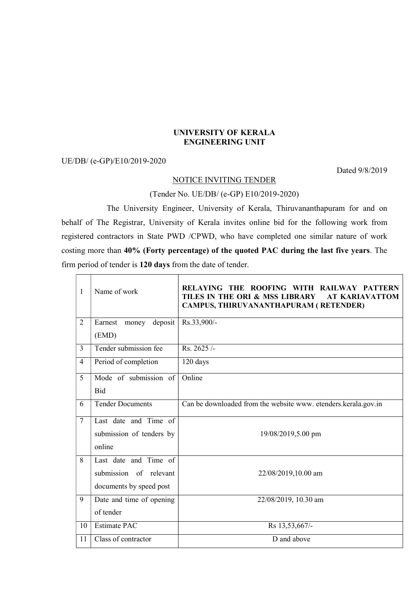## UNIVERSITY OF KERALA ENGINEERING UNIT

## UE/DB/ (e-GP)/E10/2019-2020

Dated 9/8/2019

## NOTICE INVITING TENDER

## (Tender No. UE/DB/ (e-GP) E10/2019-2020)

 The University Engineer, University of Kerala, Thiruvananthapuram for and on behalf of The Registrar, University of Kerala invites online bid for the following work from registered contractors in State PWD /CPWD, who have completed one similar nature of work costing more than 40% (Forty percentage) of the quoted PAC during the last five years. The firm period of tender is 120 days from the date of tender.

| 1              | Name of work                | RELAYING THE ROOFING WITH RAILWAY PATTERN<br>TILES IN THE ORI & MSS LIBRARY<br><b>AT KARIAVATTOM</b><br>CAMPUS, THIRUVANANTHAPURAM (RETENDER) |
|----------------|-----------------------------|-----------------------------------------------------------------------------------------------------------------------------------------------|
| $\overline{2}$ | Earnest<br>deposit<br>money | Rs.33,900/-                                                                                                                                   |
|                | (EMD)                       |                                                                                                                                               |
| 3              | Tender submission fee       | Rs. 2625/-                                                                                                                                    |
| $\overline{4}$ | Period of completion        | 120 days                                                                                                                                      |
| 5              | Mode of submission of       | Online                                                                                                                                        |
|                | Bid                         |                                                                                                                                               |
| 6              | <b>Tender Documents</b>     | Can be downloaded from the website www. etenders.kerala.gov.in                                                                                |
| $\overline{7}$ | Last date and Time of       |                                                                                                                                               |
|                | submission of tenders by    | 19/08/2019,5.00 pm                                                                                                                            |
|                | online                      |                                                                                                                                               |
| 8              | Last date and Time of       |                                                                                                                                               |
|                | submission of relevant      | 22/08/2019,10.00 am                                                                                                                           |
|                | documents by speed post     |                                                                                                                                               |
| 9              | Date and time of opening    | 22/08/2019, 10.30 am                                                                                                                          |
|                | of tender                   |                                                                                                                                               |
| 10             | <b>Estimate PAC</b>         | Rs 13,53,667/-                                                                                                                                |
| 11             | Class of contractor         | D and above                                                                                                                                   |